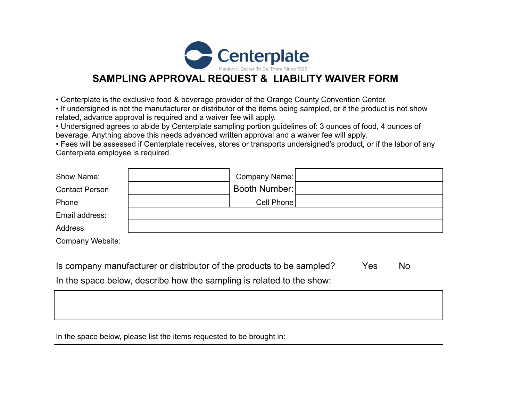

## **SAMPLING APPROVAL REQUEST & LIABILITY WAIVER FORM**

• Centerplate is the exclusive food & beverage provider of the Orange County Convention Center.

• If undersigned is not the manufacturer or distributor of the items being sampled, or if the product is not show related, advance approval is required and a waiver fee will apply.

• Undersigned agrees to abide by Centerplate sampling portion guidelines of: 3 ounces of food, 4 ounces of beverage. Anything above this needs advanced written approval and a waiver fee will apply.

• Fees will be assessed if Centerplate receives, stores or transports undersigned's product, or if the labor of any Centerplate employee is required.

| Show Name:            | Company Name: |  |
|-----------------------|---------------|--|
| <b>Contact Person</b> | Booth Number: |  |
| Phone                 | Cell Phone    |  |
| Email address:        |               |  |
| Address               |               |  |
| Company Website:      |               |  |

Is company manufacturer or distributor of the products to be sampled? Yes No In the space below, describe how the sampling is related to the show:

In the space below, please list the items requested to be brought in: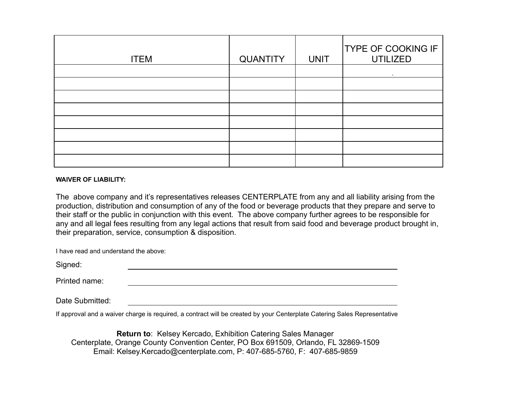| <b>ITEM</b> | <b>QUANTITY</b> | <b>UNIT</b> | <b>TYPE OF COOKING IF</b><br><b>UTILIZED</b> |
|-------------|-----------------|-------------|----------------------------------------------|
|             |                 |             |                                              |
|             |                 |             |                                              |
|             |                 |             |                                              |
|             |                 |             |                                              |
|             |                 |             |                                              |
|             |                 |             |                                              |
|             |                 |             |                                              |
|             |                 |             |                                              |

## **WAIVER OF LIABILITY:**

The above company and it's representatives releases CENTERPLATE from any and all liability arising from the production, distribution and consumption of any of the food or beverage products that they prepare and serve to their staff or the public in conjunction with this event. The above company further agrees to be responsible for any and all legal fees resulting from any legal actions that result from said food and beverage product brought in, their preparation, service, consumption & disposition.

| I have read and understand the above: |  |
|---------------------------------------|--|
| Signed:                               |  |
| Printed name:                         |  |
|                                       |  |

Date Submitted:

If approval and a waiver charge is required, a contract will be created by your Centerplate Catering Sales Representative

**Return to**: Kelsey Kercado, Exhibition Catering Sales Manager Centerplate, Orange County Convention Center, PO Box 691509, Orlando, FL 32869-1509 Email: Kelsey.Kercado@centerplate.com, P: 407-685-5760, F: 407-685-9859